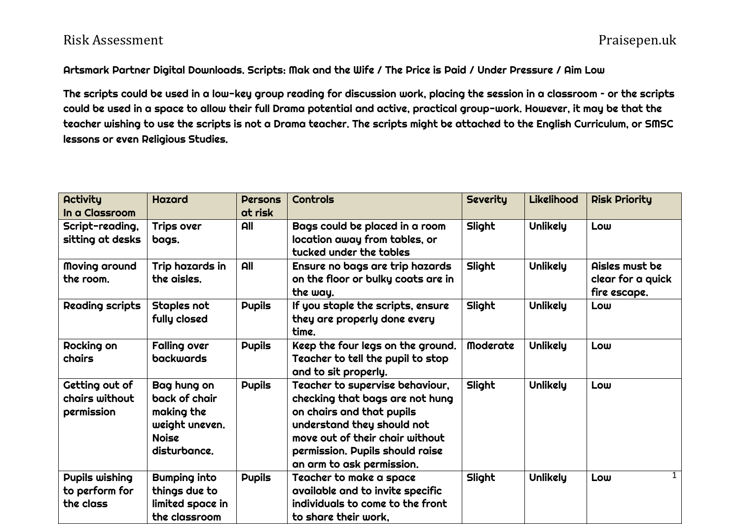## Risk Assessment Praisepen.uk

## Artsmark Partner Digital Downloads. Scripts: Mak and the Wife / The Price is Paid / Under Pressure / Aim Low

The scripts could be used in a low-key group reading for discussion work, placing the session in a classroom – or the scripts could be used in a space to allow their full Drama potential and active, practical group-work. However, it may be that the teacher wishing to use the scripts is not a Drama teacher. The scripts might be attached to the English Curriculum, or SMSC lessons or even Religious Studies.

| <b>Activity</b><br>In a Classroom              | <b>Hazard</b>                                                                                | <b>Persons</b><br>at risk | Controls                                                                                                                                                                                                                         | <b>Severity</b> | <b>Likelihood</b> | <b>Risk Priority</b>                                |
|------------------------------------------------|----------------------------------------------------------------------------------------------|---------------------------|----------------------------------------------------------------------------------------------------------------------------------------------------------------------------------------------------------------------------------|-----------------|-------------------|-----------------------------------------------------|
| Script-reading,<br>sitting at desks            | Trips over<br>bags.                                                                          | All                       | Bags could be placed in a room<br>location away from tables, or<br>tucked under the tables                                                                                                                                       | Slight          | Unlikely          | Low                                                 |
| Moving around<br>the room.                     | Trip hazards in<br>the aisles.                                                               | All                       | Ensure no bags are trip hazards<br>on the floor or bulky coats are in<br>the way.                                                                                                                                                | Slight          | <b>Unlikely</b>   | Aisles must be<br>clear for a quick<br>fire escape. |
| <b>Reading scripts</b>                         | Staples not<br>fully closed                                                                  | <b>Pupils</b>             | If you staple the scripts, ensure<br>they are properly done every<br>time.                                                                                                                                                       | Slight          | Unlikely          | Low                                                 |
| Rocking on<br>chairs                           | <b>Falling over</b><br><b>backwards</b>                                                      | <b>Pupils</b>             | Keep the four legs on the ground.<br>Teacher to tell the pupil to stop<br>and to sit properly.                                                                                                                                   | <b>Moderate</b> | Unlikely          | Low                                                 |
| Getting out of<br>chairs without<br>permission | Bag hung on<br>back of chair<br>making the<br>weight uneven.<br><b>Noise</b><br>disturbance. | <b>Pupils</b>             | Teacher to supervise behaviour,<br>checking that bags are not hung<br>on chairs and that pupils<br>understand they should not<br>move out of their chair without<br>permission. Pupils should raise<br>an arm to ask permission. | Slight          | <b>Unlikely</b>   | Low                                                 |
| Pupils wishing<br>to perform for<br>the class  | <b>Bumping into</b><br>things due to<br>limited space in<br>the classroom                    | <b>Pupils</b>             | Teacher to make a space<br>available and to invite specific<br>individuals to come to the front<br>to share their work,                                                                                                          | Slight          | Unlikely          | $\mathbf{1}$<br>Low                                 |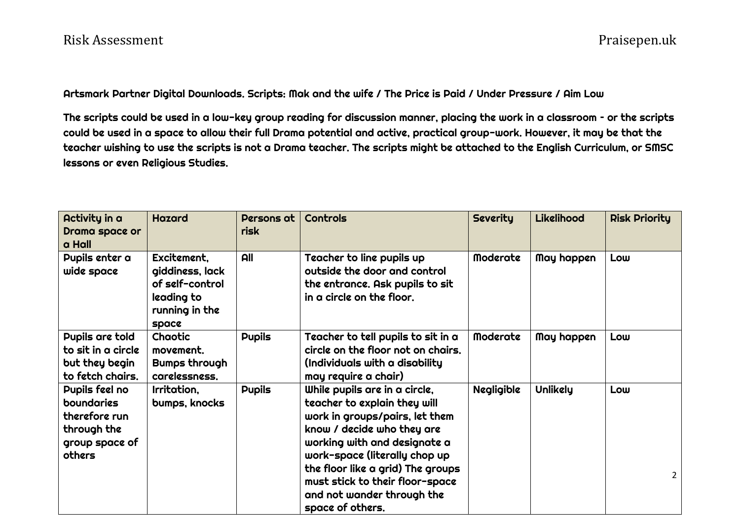Artsmark Partner Digital Downloads. Scripts: Mak and the wife / The Price is Paid / Under Pressure / Aim Low

The scripts could be used in a low-key group reading for discussion manner, placing the work in a classroom – or the scripts could be used in a space to allow their full Drama potential and active, practical group-work. However, it may be that the teacher wishing to use the scripts is not a Drama teacher. The scripts might be attached to the English Curriculum, or SMSC lessons or even Religious Studies.

| Activity in a<br>Drama space or<br>a Hall                                                | <b>Hazard</b>                                                                              | Persons at<br>risk | <b>Controls</b>                                                                                                                                                                                                                                                                                                          | <b>Severity</b>   | Likelihood | <b>Risk Priority</b>  |
|------------------------------------------------------------------------------------------|--------------------------------------------------------------------------------------------|--------------------|--------------------------------------------------------------------------------------------------------------------------------------------------------------------------------------------------------------------------------------------------------------------------------------------------------------------------|-------------------|------------|-----------------------|
| Pupils enter a<br>wide space                                                             | Excitement,<br>giddiness, lack<br>of self-control<br>leading to<br>running in the<br>space | <b>All</b>         | Teacher to line pupils up<br>outside the door and control<br>the entrance. Ask pupils to sit<br>in a circle on the floor.                                                                                                                                                                                                | <b>Moderate</b>   | May happen | Low                   |
| Pupils are told<br>to sit in a circle<br>but they begin<br>to fetch chairs.              | Chaotic<br>movement.<br>Bumps through<br>carelessness.                                     | <b>Pupils</b>      | Teacher to tell pupils to sit in a<br>circle on the floor not on chairs.<br>(Individuals with a disability)<br>may require a chair)                                                                                                                                                                                      | <b>Moderate</b>   | May happen | Low                   |
| Pupils feel no<br>boundaries<br>therefore run<br>through the<br>group space of<br>others | Irritation,<br>bumps, knocks                                                               | <b>Pupils</b>      | While pupils are in a circle,<br>teacher to explain they will<br>work in groups/pairs, let them<br>know / decide who they are<br>working with and designate a<br>work-space (literally chop up<br>the floor like a grid) The groups<br>must stick to their floor-space<br>and not wander through the<br>space of others. | <b>Negligible</b> | Unlikely   | Low<br>$\overline{2}$ |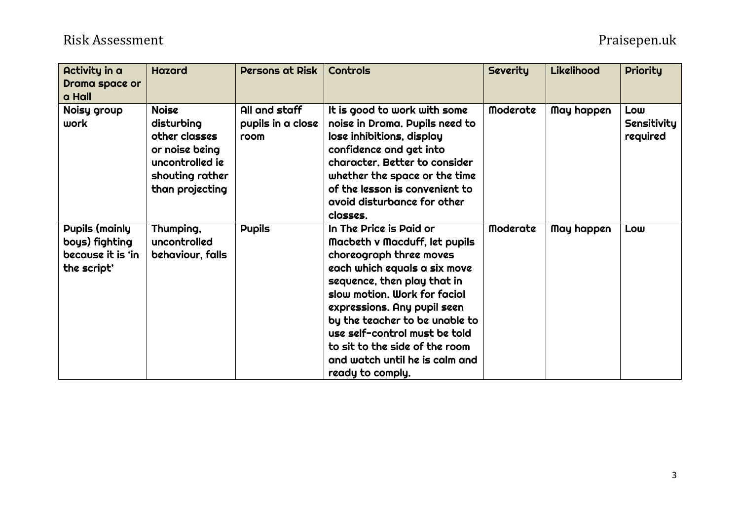## Risk Assessment Praisepen.uk

| Activity in a<br>Drama space or<br>a Hall                                   | <b>Hazard</b>                                                                                                          | Persons at Risk                            | <b>Controls</b>                                                                                                                                                                                                                                                                                                                                                              | <b>Severity</b> | Likelihood | <b>Priority</b>                |
|-----------------------------------------------------------------------------|------------------------------------------------------------------------------------------------------------------------|--------------------------------------------|------------------------------------------------------------------------------------------------------------------------------------------------------------------------------------------------------------------------------------------------------------------------------------------------------------------------------------------------------------------------------|-----------------|------------|--------------------------------|
| Noisy group<br>work                                                         | <b>Noise</b><br>disturbing<br>other classes<br>or noise being<br>uncontrolled ie<br>shouting rather<br>than projecting | All and staff<br>pupils in a close<br>room | It is good to work with some<br>noise in Drama. Pupils need to<br>lose inhibitions, display<br>confidence and get into<br>character. Better to consider<br>whether the space or the time<br>of the lesson is convenient to<br>avoid disturbance for other<br>classes.                                                                                                        | <b>Moderate</b> | May happen | Low<br>Sensitivity<br>required |
| <b>Pupils (mainly</b><br>boys) fighting<br>because it is 'in<br>the script' | Thumping,<br>uncontrolled<br>behaviour, falls                                                                          | <b>Pupils</b>                              | In The Price is Paid or<br>Macbeth v Macduff, let pupils<br>choreograph three moves<br>each which equals a six move<br>sequence, then play that in<br>slow motion. Work for facial<br>expressions. Any pupil seen<br>by the teacher to be unable to<br>use self-control must be told<br>to sit to the side of the room<br>and watch until he is calm and<br>ready to comply. | <b>Moderate</b> | May happen | Low                            |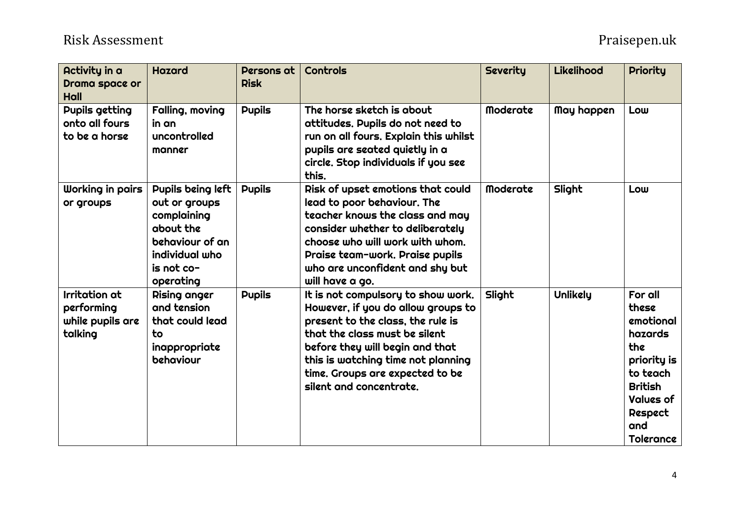| Activity in a<br>Drama space or<br><b>Hall</b>                    | <b>Hazard</b>                                                                                                                  | Persons at<br><b>Risk</b> | Controls                                                                                                                                                                                                                                                                              | <b>Severity</b> | Likelihood | <b>Priority</b>                                                                                                                                 |
|-------------------------------------------------------------------|--------------------------------------------------------------------------------------------------------------------------------|---------------------------|---------------------------------------------------------------------------------------------------------------------------------------------------------------------------------------------------------------------------------------------------------------------------------------|-----------------|------------|-------------------------------------------------------------------------------------------------------------------------------------------------|
| <b>Pupils getting</b><br>onto all fours<br>to be a horse          | Falling, moving<br>in an<br>uncontrolled<br>manner                                                                             | <b>Pupils</b>             | The horse sketch is about<br>attitudes. Pupils do not need to<br>run on all fours. Explain this whilst<br>pupils are seated quietly in a<br>circle. Stop individuals if you see<br>this.                                                                                              | <b>Moderate</b> | May happen | Low                                                                                                                                             |
| Working in pairs<br>or groups                                     | Pupils being left<br>out or groups<br>complaining<br>about the<br>behaviour of an<br>individual who<br>is not co-<br>operating | <b>Pupils</b>             | Risk of upset emotions that could<br>lead to poor behaviour. The<br>teacher knows the class and may<br>consider whether to deliberately<br>choose who will work with whom.<br>Praise team-work. Praise pupils<br>who are unconfident and shy but<br>will have a go.                   | <b>Moderate</b> | Slight     | Low                                                                                                                                             |
| <b>Irritation</b> at<br>performing<br>while pupils are<br>talking | Rising anger<br>and tension<br>that could lead<br>to<br>inappropriate<br>behaviour                                             | <b>Pupils</b>             | It is not compulsory to show work.<br>However, if you do allow groups to<br>present to the class, the rule is<br>that the class must be silent<br>before they will begin and that<br>this is watching time not planning<br>time. Groups are expected to be<br>silent and concentrate. | Slight          | Unlikely   | For all<br>these<br>emotional<br>hazards<br>the<br>priority is<br>to teach<br><b>British</b><br><b>Values of</b><br>Respect<br>and<br>Tolerance |